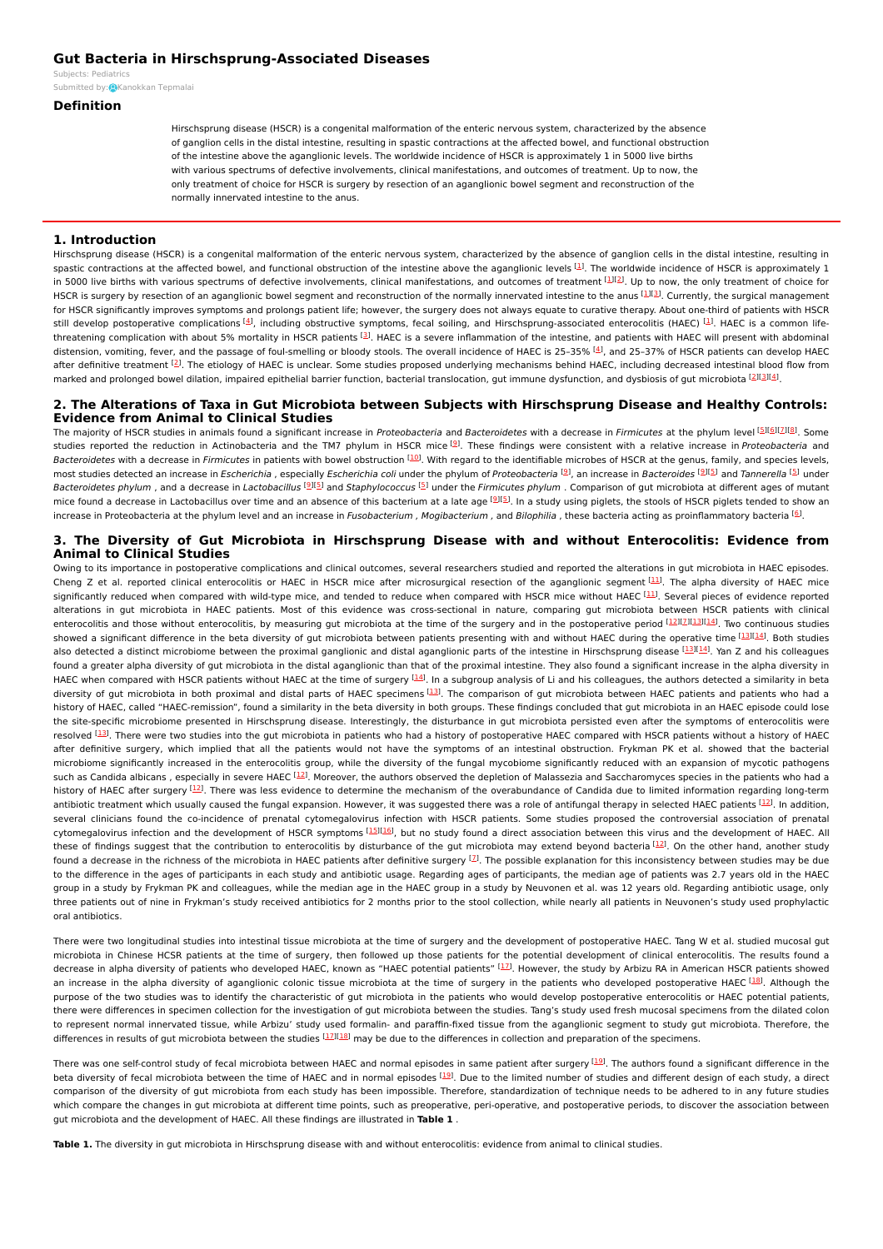# **Gut Bacteria in Hirschsprung-Associated Diseases**

Subjects: [Pediatrics](https://encyclopedia.pub/item/subject/74) Submitted by: **Q**[Kanokkan](https://sciprofiles.com/profile/1670182) Tepmalai

# **Definition**

Hirschsprung disease (HSCR) is a congenital malformation of the enteric nervous system, characterized by the absence of ganglion cells in the distal intestine, resulting in spastic contractions at the affected bowel, and functional obstruction of the intestine above the aganglionic levels. The worldwide incidence of HSCR is approximately 1 in 5000 live births with various spectrums of defective involvements, clinical manifestations, and outcomes of treatment. Up to now, the only treatment of choice for HSCR is surgery by resection of an aganglionic bowel segment and reconstruction of the normally innervated intestine to the anus.

#### **1. Introduction**

Hirschsprung disease (HSCR) is a congenital malformation of the enteric nervous system, characterized by the absence of ganglion cells in the distal intestine, resulting in spastic contractions at the affected bowel, and functional obstruction of the intestine above the aganglionic levels  $^{[1]}$  $^{[1]}$  $^{[1]}$ . The worldwide incidence of HSCR is approximately 1 in 5000 live births with various spectrums of defective involvements, clinical manifestations, and outcomes of treatment [[1](#page-2-0)][[2](#page-2-1)]. Up to now, the only treatment of choice for HSCR is surgery by resection of an aganglionic bowel segment and reconstruction of the normally innervated intestine to the anus [[1](#page-2-0)][\[3](#page-2-2)]. Currently, the surgical management for HSCR significantly improves symptoms and prolongs patient life; however, the surgery does not always equate to curative therapy. About one-third of patients with HSCR still develop postoperative complications [[4\]](#page-2-3), including obstructive symptoms, fecal soiling, and Hirschsprung-associated enterocolitis (HAEC) [[1](#page-2-0)]. HAEC is a common lifethreatening complication with about 5% mortality in HSCR patients  $^{[3]}$  $^{[3]}$  $^{[3]}$ . HAEC is a severe inflammation of the intestine, and patients with HAEC will present with abdominal distension, vomiting, fever, and the passage of foul-smelling or bloody stools. The overall incidence of HAEC is 25-35%  $^{[4]}$  $^{[4]}$  $^{[4]}$ , and 25-37% of HSCR patients can develop HAEC after definitive treatment [\[2](#page-2-1)]. The etiology of HAEC is unclear. Some studies proposed underlying mechanisms behind HAEC, including decreased intestinal blood flow from marked and prolonged bowel dilation, impaired epithelial barrier function, bacterial translocation, gut immune dysfunction, and dysbiosis of gut microbiota [\[2](#page-2-1)131[4](#page-2-3)].

# **2. The Alterations of Taxa in Gut Microbiota between Subjects with Hirschsprung Disease and Healthy Controls: Evidence from Animal to Clinical Studies**

The majority of HSCR studies in animals found a significant increase in Proteobacteria and Bacteroidetes with a decrease in Firmicutes at the phylum level [\[5](#page-2-4)][[6](#page-2-5)][[7\]](#page-2-6)[\[8\]](#page-2-7). Some studies reported the reduction in Actinobacteria and the TM7 phylum in HSCR mice <sup>[\[9](#page-2-8)]</sup>. These findings were consistent with a relative increase in*Proteobacteria* and Bacteroidetes with a decrease in Firmicutes in patients with bowel obstruction [\[10](#page-3-0)]. With regard to the identifiable microbes of HSCR at the genus, family, and species levels, most studies detected an increase in *Escherichia* , especially *Escherichia coli* under the phylum of Proteobacteria  $^{[9]}$  $^{[9]}$  $^{[9]}$ , an increase in Bacteroides  $^{[9]I5]}$  $^{[9]I5]}$  $^{[9]I5]}$  and Tannerella  $^{[5]}$  $^{[5]}$  $^{[5]}$  under Bacteroidetes phylum , and a decrease in Lactobacillus <sup>[\[9](#page-2-8)][\[5](#page-2-4)]</sup> and Staphylococcus <sup>[[5](#page-2-4)]</sup> under the Firmicutes phylum . Comparison of gut microbiota at different ages of mutant mice found a decrease in Lactobacillus over time and an absence of this bacterium at a late age <sup>[\[9](#page-2-8)][[5](#page-2-4)]</sup>. In a study using piglets, the stools of HSCR piglets tended to show an increase in Proteobacteria at the phylum level and an increase in Fusobacterium , Mogibacterium , and Bilophilia , these bacteria acting as proinflammatory bacteria [[6](#page-2-5)].

### **3. The Diversity of Gut Microbiota in Hirschsprung Disease with and without Enterocolitis: Evidence from Animal to Clinical Studies**

Owing to its importance in postoperative complications and clinical outcomes, several researchers studied and reported the alterations in gut microbiota in HAEC episodes. Cheng Z et al. reported clinical enterocolitis or HAEC in HSCR mice after microsurgical resection of the aganglionic segment [[11](#page-3-1)]. The alpha diversity of HAEC mice significantly reduced when compared with wild-type mice, and tended to reduce when compared with HSCR mice without HAEC [[11](#page-3-1)]. Several pieces of evidence reported alterations in gut microbiota in HAEC patients. Most of this evidence was cross-sectional in nature, comparing gut microbiota between HSCR patients with clinical enterocolitis and those without enterocolitis, by measuring gut microbiota at the time of the surgery and in the postoperative period [[12](#page-3-2)][2][\[13](#page-3-3)][\[14\]](#page-3-4). Two continuous studies showed a significant difference in the beta diversity of gut microbiota between patients presenting with and without HAEC during the operative time [[13](#page-3-3)][\[14](#page-3-4)]. Both studies also detected a distinct microbiome between the proximal ganglionic and distal aganglionic parts of the intestine in Hirschsprung disease [\[13](#page-3-3)][[14](#page-3-4)]. Yan Z and his colleagues found a greater alpha diversity of gut microbiota in the distal aganglionic than that of the proximal intestine. They also found a significant increase in the alpha diversity in HAEC when compared with HSCR patients without HAEC at the time of surgery [\[14](#page-3-4)]. In a subgroup analysis of Li and his colleagues, the authors detected a similarity in beta diversity of gut microbiota in both proximal and distal parts of HAEC specimens [[13](#page-3-3)]. The comparison of gut microbiota between HAEC patients and patients who had a history of HAEC, called "HAEC-remission", found a similarity in the beta diversity in both groups. These findings concluded that gut microbiota in an HAEC episode could lose the site-specific microbiome presented in Hirschsprung disease. Interestingly, the disturbance in gut microbiota persisted even after the symptoms of enterocolitis were resolved [[13](#page-3-3)]. There were two studies into the gut microbiota in patients who had a history of postoperative HAEC compared with HSCR patients without a history of HAEC after definitive surgery, which implied that all the patients would not have the symptoms of an intestinal obstruction. Frykman PK et al. showed that the bacterial microbiome significantly increased in the enterocolitis group, while the diversity of the fungal mycobiome significantly reduced with an expansion of mycotic pathogens such as Candida albicans , especially in severe HAEC  $^{[12]}$  $^{[12]}$  $^{[12]}$ . Moreover, the authors observed the depletion of Malassezia and Saccharomyces species in the patients who had a history of HAEC after surgery [[12](#page-3-2)]. There was less evidence to determine the mechanism of the overabundance of Candida due to limited information regarding long-term antibiotic treatment which usually caused the fungal expansion. However, it was suggested there was a role of antifungal therapy in selected HAEC patients [\[12](#page-3-2)]. In addition, several clinicians found the co-incidence of prenatal cytomegalovirus infection with HSCR patients. Some studies proposed the controversial association of prenatal cytomegalovirus infection and the development of HSCR symptoms [\[15](#page-3-5)][[16](#page-3-6)], but no study found a direct association between this virus and the development of HAEC. All these of findings suggest that the contribution to enterocolitis by disturbance of the gut microbiota may extend beyond bacteria [[12](#page-3-2)]. On the other hand, another study found a decrease in the richness of the microbiota in HAEC patients after definitive surgery  $^{[7]}$  $^{[7]}$  $^{[7]}$ . The possible explanation for this inconsistency between studies may be due to the difference in the ages of participants in each study and antibiotic usage. Regarding ages of participants, the median age of patients was 2.7 years old in the HAEC group in a study by Frykman PK and colleagues, while the median age in the HAEC group in a study by Neuvonen et al. was 12 years old. Regarding antibiotic usage, only three patients out of nine in Frykman's study received antibiotics for 2 months prior to the stool collection, while nearly all patients in Neuvonen's study used prophylactic oral antibiotics.

There were two longitudinal studies into intestinal tissue microbiota at the time of surgery and the development of postoperative HAEC. Tang W et al. studied mucosal gut microbiota in Chinese HCSR patients at the time of surgery, then followed up those patients for the potential development of clinical enterocolitis. The results found a decrease in alpha diversity of patients who developed HAEC, known as "HAEC potential patients" [[17](#page-3-7)]. However, the study by Arbizu RA in American HSCR patients showed an increase in the alpha diversity of aganglionic colonic tissue microbiota at the time of surgery in the patients who developed postoperative HAEC <sup>[\[18](#page-3-8)]</sup>. Although the purpose of the two studies was to identify the characteristic of gut microbiota in the patients who would develop postoperative enterocolitis or HAEC potential patients. there were differences in specimen collection for the investigation of gut microbiota between the studies. Tang's study used fresh mucosal specimens from the dilated colon to represent normal innervated tissue, while Arbizu' study used formalin- and paraffin-fixed tissue from the aganglionic segment to study gut microbiota. Therefore, the differences in results of gut microbiota between the studies [\[17](#page-3-7)][[18](#page-3-8)] may be due to the differences in collection and preparation of the specimens.

There was one self-control study of fecal microbiota between HAEC and normal episodes in same patient after surgery [\[19](#page-3-9)]. The authors found a significant difference in the beta diversity of fecal microbiota between the time of HAEC and in normal episodes [[19](#page-3-9)]. Due to the limited number of studies and different design of each study, a direct comparison of the diversity of gut microbiota from each study has been impossible. Therefore, standardization of technique needs to be adhered to in any future studies which compare the changes in gut microbiota at different time points, such as preoperative, peri-operative, and postoperative periods, to discover the association between gut microbiota and the development of HAEC. All these findings are illustrated in **Table 1** .

**Table 1.** The diversity in gut microbiota in Hirschsprung disease with and without enterocolitis: evidence from animal to clinical studies.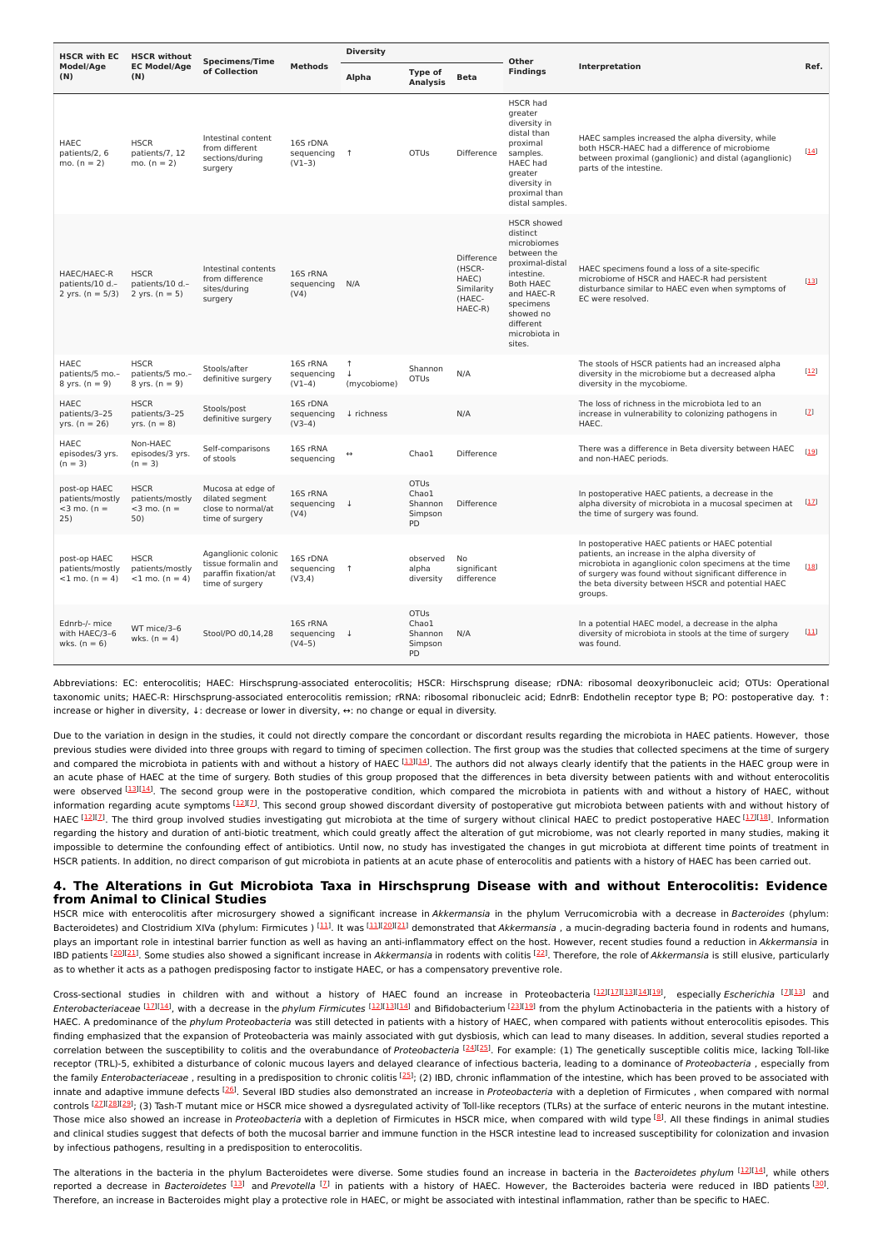| <b>HSCR with EC</b><br>Model/Age<br>(N)                  | <b>HSCR without</b><br><b>EC Model/Age</b><br>(N)       | <b>Specimens/Time</b>                                                                 |                                             | <b>Diversity</b>                          |                                                         |                                                                  | Other                                                                                                                                                                                      |                                                                                                                                                                                                                                                                                         |              |
|----------------------------------------------------------|---------------------------------------------------------|---------------------------------------------------------------------------------------|---------------------------------------------|-------------------------------------------|---------------------------------------------------------|------------------------------------------------------------------|--------------------------------------------------------------------------------------------------------------------------------------------------------------------------------------------|-----------------------------------------------------------------------------------------------------------------------------------------------------------------------------------------------------------------------------------------------------------------------------------------|--------------|
|                                                          |                                                         | of Collection                                                                         | <b>Methods</b>                              | Alpha                                     | Type of<br><b>Analysis</b>                              | <b>Beta</b>                                                      | <b>Findinas</b>                                                                                                                                                                            | Interpretation                                                                                                                                                                                                                                                                          |              |
| <b>HAEC</b><br>patients/2, 6<br>mo. $(n = 2)$            | <b>HSCR</b><br>patients/7, 12<br>mo. $(n = 2)$          | Intestinal content<br>from different<br>sections/during<br>surgery                    | 16S rDNA<br>sequencing 1<br>$(V1-3)$        |                                           | <b>OTUs</b>                                             | Difference                                                       | <b>HSCR had</b><br>greater<br>diversity in<br>distal than<br>proximal<br>samples.<br><b>HAEC</b> had<br>greater<br>diversity in<br>proximal than<br>distal samples.                        | HAEC samples increased the alpha diversity, while<br>both HSCR-HAEC had a difference of microbiome<br>between proximal (ganglionic) and distal (aganglionic)<br>parts of the intestine.                                                                                                 | $[14]$       |
| HAEC/HAEC-R<br>patients/10 d.-<br>2 yrs. ( $n = 5/3$ )   | <b>HSCR</b><br>patients/10 d.-<br>2 yrs. $(n = 5)$      | Intestinal contents<br>from difference<br>sites/during<br>surgery                     | 16S rRNA<br>sequencing<br>(V4)              | N/A                                       |                                                         | Difference<br>(HSCR-<br>HAEC)<br>Similarity<br>(HAEC-<br>HAEC-R) | <b>HSCR</b> showed<br>distinct<br>microbiomes<br>between the<br>proximal-distal<br>intestine.<br>Both HAEC<br>and HAEC-R<br>specimens<br>showed no<br>different<br>microbiota in<br>sites. | HAEC specimens found a loss of a site-specific<br>microbiome of HSCR and HAEC-R had persistent<br>disturbance similar to HAEC even when symptoms of<br>EC were resolved.                                                                                                                | $[13]$       |
| <b>HAEC</b><br>patients/5 mo.-<br>8 yrs. $(n = 9)$       | <b>HSCR</b><br>patients/5 mo.-<br>8 yrs. $(n = 9)$      | Stools/after<br>definitive surgery                                                    | 16S rRNA<br>sequencing<br>$(V1-4)$          | $\uparrow$<br>$\downarrow$<br>(mycobiome) | Shannon<br><b>OTUs</b>                                  | N/A                                                              |                                                                                                                                                                                            | The stools of HSCR patients had an increased alpha<br>diversity in the microbiome but a decreased alpha<br>diversity in the mycobiome.                                                                                                                                                  | [12]         |
| <b>HAEC</b><br>patients/3-25<br>$yrs. (n = 26)$          | <b>HSCR</b><br>patients/3-25<br>$yrs. (n = 8)$          | Stools/post<br>definitive surgery                                                     | 16S rDNA<br>sequencing<br>$(V3-4)$          | ↓ richness                                |                                                         | N/A                                                              |                                                                                                                                                                                            | The loss of richness in the microbiota led to an<br>increase in vulnerability to colonizing pathogens in<br>HAEC.                                                                                                                                                                       | $\mathbf{Z}$ |
| <b>HAEC</b><br>episodes/3 yrs.<br>$(n = 3)$              | Non-HAEC<br>episodes/3 yrs.<br>$(n = 3)$                | Self-comparisons<br>of stools                                                         | 16S rRNA<br>sequencing                      |                                           | Chao1                                                   | Difference                                                       |                                                                                                                                                                                            | There was a difference in Beta diversity between HAEC<br>and non-HAEC periods.                                                                                                                                                                                                          | $[19]$       |
| post-op HAEC<br>patients/mostly<br>$<$ 3 mo. (n =<br>25) | <b>HSCR</b><br>patients/mostly<br>$<$ 3 mo. (n =<br>50) | Mucosa at edge of<br>dilated segment<br>close to normal/at<br>time of surgery         | 16S rRNA<br>sequencing $\downarrow$<br>(V4) |                                           | <b>OTUs</b><br>Chao1<br>Shannon<br>Simpson<br><b>PD</b> | Difference                                                       |                                                                                                                                                                                            | In postoperative HAEC patients, a decrease in the<br>alpha diversity of microbiota in a mucosal specimen at<br>the time of surgery was found.                                                                                                                                           | $[17]$       |
| post-op HAEC<br>patients/mostly<br>$<$ 1 mo. (n = 4)     | <b>HSCR</b><br>patients/mostly<br>$<$ 1 mo. (n = 4)     | Aganglionic colonic<br>tissue formalin and<br>paraffin fixation/at<br>time of surgery | 16S rDNA<br>sequencing 1<br>(V3,4)          |                                           | observed<br>alpha<br>diversity                          | No<br>significant<br>difference                                  |                                                                                                                                                                                            | In postoperative HAEC patients or HAEC potential<br>patients, an increase in the alpha diversity of<br>microbiota in aganglionic colon specimens at the time<br>of surgery was found without significant difference in<br>the beta diversity between HSCR and potential HAEC<br>groups. | [18]         |
| Ednrb-/- mice<br>with HAEC/3-6<br>wks. $(n = 6)$         | WT mice/3-6<br>wks. $(n = 4)$                           | Stool/PO d0,14,28                                                                     | 16S rRNA<br>sequencing<br>$(V4-5)$          | $\downarrow$                              | <b>OTUs</b><br>Chao1<br>Shannon<br>Simpson<br>PD        | N/A                                                              |                                                                                                                                                                                            | In a potential HAEC model, a decrease in the alpha<br>diversity of microbiota in stools at the time of surgery<br>was found.                                                                                                                                                            | $[11]$       |

Abbreviations: EC: enterocolitis; HAEC: Hirschsprung-associated enterocolitis; HSCR: Hirschsprung disease; rDNA: ribosomal deoxyribonucleic acid; OTUs: Operational taxonomic units; HAEC-R: Hirschsprung-associated enterocolitis remission; rRNA: ribosomal ribonucleic acid; EdnrB: Endothelin receptor type B; PO: postoperative day. ↑: increase or higher in diversity, ↓: decrease or lower in diversity, ↔: no change or equal in diversity.

Due to the variation in design in the studies, it could not directly compare the concordant or discordant results regarding the microbiota in HAEC patients. However, those previous studies were divided into three groups with regard to timing of specimen collection. The first group was the studies that collected specimens at the time of surgery and compared the microbiota in patients with and without a history of HAEC [\[13](#page-3-3)][[14](#page-3-4)]. The authors did not always clearly identify that the patients in the HAEC group were in an acute phase of HAEC at the time of surgery. Both studies of this group proposed that the differences in beta diversity between patients with and without enterocolitis were observed [\[13\]](#page-3-3)[\[14](#page-3-4)]. The second group were in the postoperative condition, which compared the microbiota in patients with and without a history of HAEC, without information regarding acute symptoms  $^{[12]I\!]}$  $^{[12]I\!]}$  $^{[12]I\!]}$ . This second group showed discordant diversity of postoperative gut microbiota between patients with and without history of HAEC <sup>[<u>12</u>][2]</sup>. The third group involved studies investigating gut microbiota at the time of surgery without clinical HAEC to predict postoperative HAEC [1[7](#page-2-6)][[18](#page-3-8)]. Information regarding the history and duration of anti-biotic treatment, which could greatly affect the alteration of gut microbiome, was not clearly reported in many studies, making it impossible to determine the confounding effect of antibiotics. Until now, no study has investigated the changes in gut microbiota at different time points of treatment in HSCR patients. In addition, no direct comparison of gut microbiota in patients at an acute phase of enterocolitis and patients with a history of HAEC has been carried out.

### **4. The Alterations in Gut Microbiota Taxa in Hirschsprung Disease with and without Enterocolitis: Evidence from Animal to Clinical Studies**

HSCR mice with enterocolitis after microsurgery showed a significant increase in Akkermansia in the phylum Verrucomicrobia with a decrease in Bacteroides (phylum: Bacteroidetes) and Clostridium XIVa (phylum: Firmicutes ) [\[11](#page-3-1)]. It was [[11](#page-3-1)][\[20](#page-3-10)][[21](#page-3-11)] demonstrated that Akkermansia , a mucin-degrading bacteria found in rodents and humans, plays an important role in intestinal barrier function as well as having an anti-inflammatory effect on the host. However, recent studies found a reduction in Akkermansia in IBD patients <sup>[\[20](#page-3-10)][[21](#page-3-11)]</sup>. Some studies also showed a significant increase in Akkermansia in rodents with colitis <sup>[[22](#page-3-12)]</sup>. Therefore, the role of Akkermansia is still elusive, particularly as to whether it acts as a pathogen predisposing factor to instigate HAEC, or has a compensatory preventive role.

Cross-sectional studies in children with and without a history of HAEC found an increase in Proteobacteria [22][\[17](#page-3-7)][[13](#page-3-3)][[14](#page-3-4)][[19](#page-3-9)], especially Escherichia [2][13] and Enterobacteriaceae [\[17](#page-3-7)][[14](#page-3-4)], with a decrease in the phylum Firmicutes [\[12](#page-3-2)][[13](#page-3-3)][\[14](#page-3-4)] and Bifidobacterium [\[23\]](#page-3-13)[\[19](#page-3-9)] from the phylum Actinobacteria in the patients with a history of HAEC. A predominance of the *phylum Proteobacteria* was still detected in patients with a history of HAEC, when compared with patients without enterocolitis episodes. This finding emphasized that the expansion of Proteobacteria was mainly associated with gut dysbiosis, which can lead to many diseases. In addition, several studies reported a correlation between the susceptibility to colitis and the overabundance of Proteobacteria [[24](#page-3-14)][\[25](#page-3-15)]. For example: (1) The genetically susceptible colitis mice, lacking Toll-like receptor (TRL)-5, exhibited a disturbance of colonic mucous layers and delayed clearance of infectious bacteria, leading to a dominance of Proteobacteria, especially from the family Enterobacteriaceae, resulting in a predisposition to chronic colitis <sup>[[25](#page-3-15)]</sup>; (2) IBD, chronic inflammation of the intestine, which has been proved to be associated with innate and adaptive immune defects [[26](#page-3-16)]. Several IBD studies also demonstrated an increase in Proteobacteria with a depletion of Firmicutes , when compared with normal controls [[27](#page-3-17)][[28](#page-3-18)][\[29](#page-3-19)]; (3) Tash-T mutant mice or HSCR mice showed a dysregulated activity of Toll-like receptors (TLRs) at the surface of enteric neurons in the mutant intestine. Those mice also showed an increase in Proteobacteria with a depletion of Firmicutes in HSCR mice, when compared with wild type [\[8\]](#page-2-7). All these findings in animal studies and clinical studies suggest that defects of both the mucosal barrier and immune function in the HSCR intestine lead to increased susceptibility for colonization and invasion by infectious pathogens, resulting in a predisposition to enterocolitis.

The alterations in the bacteria in the phylum Bacteroidetes were diverse. Some studies found an increase in bacteria in the Bacteroidetes phylum [[12](#page-3-2)][\[14](#page-3-4)], while others reported a decrease in Bacteroidetes [[13](#page-3-3)] and Prevotella [[7](#page-2-6)] in patients with a history of HAEC. However, the Bacteroides bacteria were reduced in IBD patients [\[30](#page-3-20)]. Therefore, an increase in Bacteroides might play a protective role in HAEC, or might be associated with intestinal inflammation, rather than be specific to HAEC.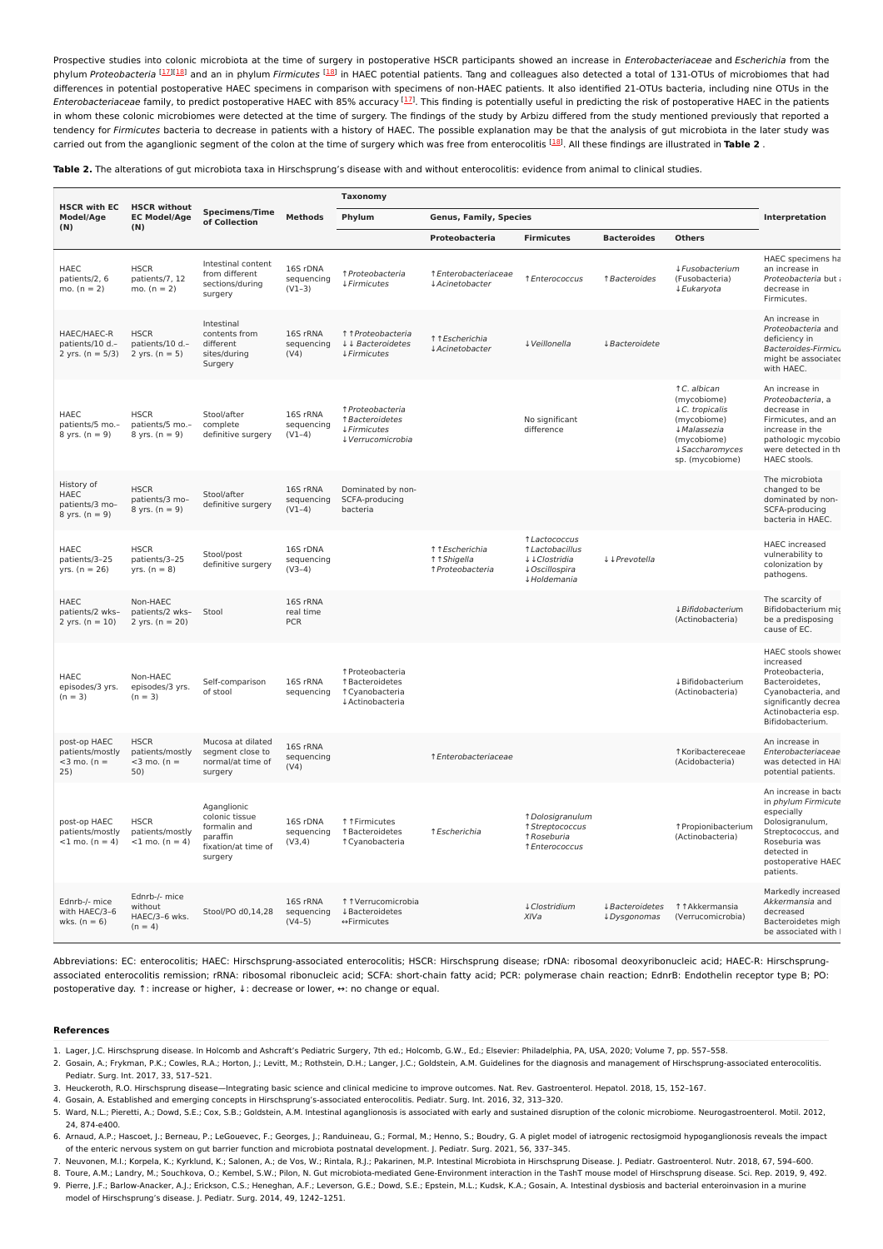Prospective studies into colonic microbiota at the time of surgery in postoperative HSCR participants showed an increase in Enterobacteriaceae and Escherichia from the phylum Proteobacteria [[17](#page-3-7)][\[18](#page-3-8)] and an in phylum Firmicutes [[18](#page-3-8)] in HAEC potential patients. Tang and colleagues also detected a total of 131-OTUs of microbiomes that had differences in potential postoperative HAEC specimens in comparison with specimens of non-HAEC patients. It also identified 21-OTUs bacteria, including nine OTUs in the Enterobacteriaceae family, to predict postoperative HAEC with 85% accuracy  $^{[1\!]}$ . This finding is potentially useful in predicting the risk of postoperative HAEC in the patients in whom these colonic microbiomes were detected at the time of surgery. The findings of the study by Arbizu differed from the study mentioned previously that reported a tendency for Firmicutes bacteria to decrease in patients with a history of HAEC. The possible explanation may be that the analysis of qut microbiota in the later study was carried out from the aganglionic segment of the colon at the time of surgery which was free from enterocolitis <sup>[[18](#page-3-8)]</sup>. All these findings are illustrated in Table 2.

**Table 2.** The alterations of gut microbiota taxa in Hirschsprung's disease with and without enterocolitis: evidence from animal to clinical studies.

| <b>HSCR with EC</b><br>Model/Age<br>(N)                  | <b>HSCR</b> without<br><b>EC Model/Age</b><br>(N)       | <b>Specimens/Time</b><br>of Collection                                                      | <b>Methods</b>                      | <b>Taxonomy</b>                                                                |                                                   |                                                                                    |                                      |                                                                                                                                  |                                                                                                                                                                       |
|----------------------------------------------------------|---------------------------------------------------------|---------------------------------------------------------------------------------------------|-------------------------------------|--------------------------------------------------------------------------------|---------------------------------------------------|------------------------------------------------------------------------------------|--------------------------------------|----------------------------------------------------------------------------------------------------------------------------------|-----------------------------------------------------------------------------------------------------------------------------------------------------------------------|
|                                                          |                                                         |                                                                                             |                                     | Phylum                                                                         | <b>Genus, Family, Species</b>                     | Interpretation                                                                     |                                      |                                                                                                                                  |                                                                                                                                                                       |
|                                                          |                                                         |                                                                                             |                                     |                                                                                | Proteobacteria                                    | <b>Firmicutes</b>                                                                  | <b>Bacteroides</b>                   | <b>Others</b>                                                                                                                    |                                                                                                                                                                       |
| <b>HAEC</b><br>patients/2, 6<br>mo. $(n = 2)$            | <b>HSCR</b><br>patients/7, 12<br>mo. $(n = 2)$          | Intestinal content<br>from different<br>sections/during<br>surgery                          | 16S rDNA<br>sequencing<br>$(V1-3)$  | ↑ Proteobacteria<br>4 Firmicutes                                               | ↑ Enterobacteriaceae<br>↓ Acinetobacter           | ↑ Enterococcus                                                                     | ↑ Bacteroides                        | ↓ Fusobacterium<br>(Fusobacteria)<br>↓ Eukaryota                                                                                 | HAEC specimens ha<br>an increase in<br>Proteobacteria but a<br>decrease in<br>Firmicutes.                                                                             |
| HAEC/HAEC-R<br>patients/10 d.-<br>2 yrs. $(n = 5/3)$     | <b>HSCR</b><br>patients/10 d.-<br>2 yrs. $(n = 5)$      | Intestinal<br>contents from<br>different<br>sites/during<br>Surgery                         | 16S rRNA<br>sequencing<br>(V4)      | ↑↑ Proteobacteria<br>↓↓ Bacteroidetes<br><b>↓Firmicutes</b>                    | ↑↑Escherichia<br>↓ Acinetobacter                  | ↓ Veillonella                                                                      | ↓ Bacteroidete                       |                                                                                                                                  | An increase in<br>Proteobacteria and<br>deficiency in<br>Bacteroides-Firmicu<br>might be associated<br>with HAEC.                                                     |
| HAEC<br>patients/5 mo.-<br>8 yrs. $(n = 9)$              | <b>HSCR</b><br>patients/5 mo.-<br>8 yrs. $(n = 9)$      | Stool/after<br>complete<br>definitive surgery                                               | 16S rRNA<br>sequencing<br>$(V1-4)$  | ↑ Proteobacteria<br>↑ Bacteroidetes<br><b>↓Firmicutes</b><br>↓ Verrucomicrobia |                                                   | No significant<br>difference                                                       |                                      | ↑C. albican<br>(mycobiome)<br>↓C. tropicalis<br>(mycobiome)<br>↓ Malassezia<br>(mycobiome)<br>↓ Saccharomyces<br>sp. (mycobiome) | An increase in<br>Proteobacteria, a<br>decrease in<br>Firmicutes, and an<br>increase in the<br>pathologic mycobio<br>were detected in th<br>HAEC stools.              |
| History of<br>HAEC<br>patients/3 mo-<br>8 yrs. $(n = 9)$ | <b>HSCR</b><br>patients/3 mo-<br>8 yrs. $(n = 9)$       | Stool/after<br>definitive surgery                                                           | 16S rRNA<br>sequencing<br>$(V1-4)$  | Dominated by non-<br>SCFA-producing<br>bacteria                                |                                                   |                                                                                    |                                      |                                                                                                                                  | The microbiota<br>changed to be<br>dominated by non-<br>SCFA-producing<br>bacteria in HAEC.                                                                           |
| <b>HAEC</b><br>patients/3-25<br>$yrs. (n = 26)$          | <b>HSCR</b><br>patients/3-25<br>yrs. $(n = 8)$          | Stool/post<br>definitive surgery                                                            | 16S rDNA<br>sequencing<br>$(V3-4)$  |                                                                                | ↑ ↑ Escherichia<br>↑↑Shigella<br>î Proteobacteria | ↑ Lactococcus<br>↑ Lactobacillus<br>↓↓Clostridia<br>↓ Oscillospira<br>↓ Holdemania | ↓↓Prevotella                         |                                                                                                                                  | <b>HAEC</b> increased<br>vulnerability to<br>colonization by<br>pathogens.                                                                                            |
| <b>HAEC</b><br>patients/2 wks-<br>2 yrs. $(n = 10)$      | Non-HAEC<br>patients/2 wks-<br>2 yrs. $(n = 20)$        | Stool                                                                                       | 16S rRNA<br>real time<br><b>PCR</b> |                                                                                |                                                   |                                                                                    |                                      | ↓ Bifidobacterium<br>(Actinobacteria)                                                                                            | The scarcity of<br>Bifidobacterium mic<br>be a predisposing<br>cause of EC.                                                                                           |
| HAEC<br>episodes/3 yrs.<br>$(n = 3)$                     | Non-HAEC<br>episodes/3 yrs.<br>$(n = 3)$                | Self-comparison<br>of stool                                                                 | 16S rRNA<br>sequencing              | ↑ Proteobacteria<br>↑ Bacteroidetes<br>↑ Cyanobacteria<br>↓ Actinobacteria     |                                                   |                                                                                    |                                      | ↓Bifidobacterium<br>(Actinobacteria)                                                                                             | HAEC stools showed<br>increased<br>Proteobacteria,<br>Bacteroidetes,<br>Cyanobacteria, and<br>significantly decrea:<br>Actinobacteria esp.<br>Bifidobacterium.        |
| post-op HAEC<br>patients/mostly<br>$<$ 3 mo. (n =<br>25) | <b>HSCR</b><br>patients/mostly<br>$<$ 3 mo. (n =<br>50) | Mucosa at dilated<br>segment close to<br>normal/at time of<br>surgery                       | 16S rRNA<br>sequencing<br>(V4)      |                                                                                | ↑ Enterobacteriaceae                              |                                                                                    |                                      | ↑ Koribactereceae<br>(Acidobacteria)                                                                                             | An increase in<br>Enterobacteriaceae<br>was detected in HAI<br>potential patients.                                                                                    |
| post-op HAEC<br>patients/mostly<br>$<$ 1 mo. (n = 4)     | <b>HSCR</b><br>patients/mostly<br>$<$ 1 mo. (n = 4)     | Aganglionic<br>colonic tissue<br>formalin and<br>paraffin<br>fixation/at time of<br>surgery | 16S rDNA<br>sequencing<br>(V3,4)    | ↑↑Firmicutes<br>↑ Bacteroidetes<br>↑ Cyanobacteria                             | ↑ Escherichia                                     | 1 Dolosigranulum<br>↑ Streptococcus<br>↑Roseburia<br>↑ Enterococcus                |                                      | ↑ Propionibacterium<br>(Actinobacteria)                                                                                          | An increase in bacte<br>in phylum Firmicute<br>especially<br>Dolosigranulum,<br>Streptococcus, and<br>Roseburia was<br>detected in<br>postoperative HAEC<br>patients. |
| Ednrb-/- mice<br>with HAEC/3-6<br>wks. $(n = 6)$         | Ednrb-/- mice<br>without<br>HAEC/3-6 wks.<br>$(n = 4)$  | Stool/PO d0,14,28                                                                           | 16S rRNA<br>sequencing<br>$(V4-5)$  | ↑ ↑ Verrucomicrobia<br><b>↓Bacteroidetes</b><br>↔Firmicutes                    |                                                   | ↓ Clostridium<br>XIVa                                                              | <b>↓Bacteroidetes</b><br>↓Dysgonomas | ↑↑Akkermansia<br>(Verrucomicrobia)                                                                                               | Markedly increased<br>Akkermansia and<br>decreased<br>Bacteroidetes might<br>be associated with I                                                                     |

Abbreviations: EC: enterocolitis; HAEC: Hirschsprung-associated enterocolitis; HSCR: Hirschsprung disease; rDNA: ribosomal deoxyribonucleic acid; HAEC-R: Hirschsprungassociated enterocolitis remission; rRNA: ribosomal ribonucleic acid; SCFA: short-chain fatty acid; PCR: polymerase chain reaction; EdnrB: Endothelin receptor type B; PO: postoperative day. ↑: increase or higher, ↓: decrease or lower, ↔: no change or equal.

#### **References**

- <span id="page-2-0"></span>1. Lager, J.C. Hirschsprung disease. In Holcomb and Ashcraft's Pediatric Surgery, 7th ed.; Holcomb, G.W., Ed.; Elsevier: Philadelphia, PA, USA, 2020; Volume 7, pp. 557–558.
- 2. Gosain, A.; Frykman, P.K.; Cowles, R.A.; Horton, J.; Levitt, M.; Rothstein, D.H.; Langer, J.C.; Goldstein, A.M. Guidelines for the diagnosis and management of Hirschsprung-associated enterocolitis.
- <span id="page-2-1"></span>Pediatr. Surg. Int. 2017, 33, 517–521.
- <span id="page-2-2"></span>3. Heuckeroth, R.O. Hirschsprung disease—Integrating basic science and clinical medicine to improve outcomes. Nat. Rev. Gastroenterol. Hepatol. 2018, 15, 152–167.
- <span id="page-2-3"></span>4. Gosain, A. Established and emerging concepts in Hirschsprung's-associated enterocolitis. Pediatr. Surg. Int. 2016, 32, 313–320.
- <span id="page-2-4"></span>5. Ward, N.L.; Pieretti, A.; Dowd, S.E.; Cox, S.B.; Goldstein, A.M. Intestinal aganglionosis is associated with early and sustained disruption of the colonic microbiome. Neurogastroenterol. Motil. 2012, 24, 874-e400.
- <span id="page-2-5"></span>6. Arnaud, A.P.; Hascoet, J.; Berneau, P.; LeGouevec, F.; Georges, J.; Randuineau, G.; Formal, M.; Henno, S.; Boudry, G. A piglet model of iatrogenic rectosigmoid hypoganglionosis reveals the impact of the enteric nervous system on gut barrier function and microbiota postnatal development. J. Pediatr. Surg. 2021, 56, 337–345.
- <span id="page-2-6"></span>7. Neuvonen, M.I.; Korpela, K.; Kyrklund, K.; Salonen, A.; de Vos, W.; Rintala, R.J.; Pakarinen, M.P. Intestinal Microbiota in Hirschsprung Disease. J. Pediatr. Gastroenterol. Nutr. 2018, 67, 594–600.
- <span id="page-2-7"></span>8. Toure, A.M.; Landry, M.; Souchkova, O.; Kembel, S.W.; Pilon, N. Gut microbiota-mediated Gene-Environment interaction in the TashT mouse model of Hirschsprung disease. Sci. Rep. 2019, 9, 492.
- <span id="page-2-8"></span>9. Pierre, J.F.; Barlow-Anacker, A.J.; Erickson, C.S.; Heneghan, A.F.; Leverson, G.E.; Dowd, S.E.; Epstein, M.L.; Kudsk, K.A.; Gosain, A. Intestinal dysbiosis and bacterial enteroinvasion in a murine model of Hirschsprung's disease. J. Pediatr. Surg. 2014, 49, 1242–1251.